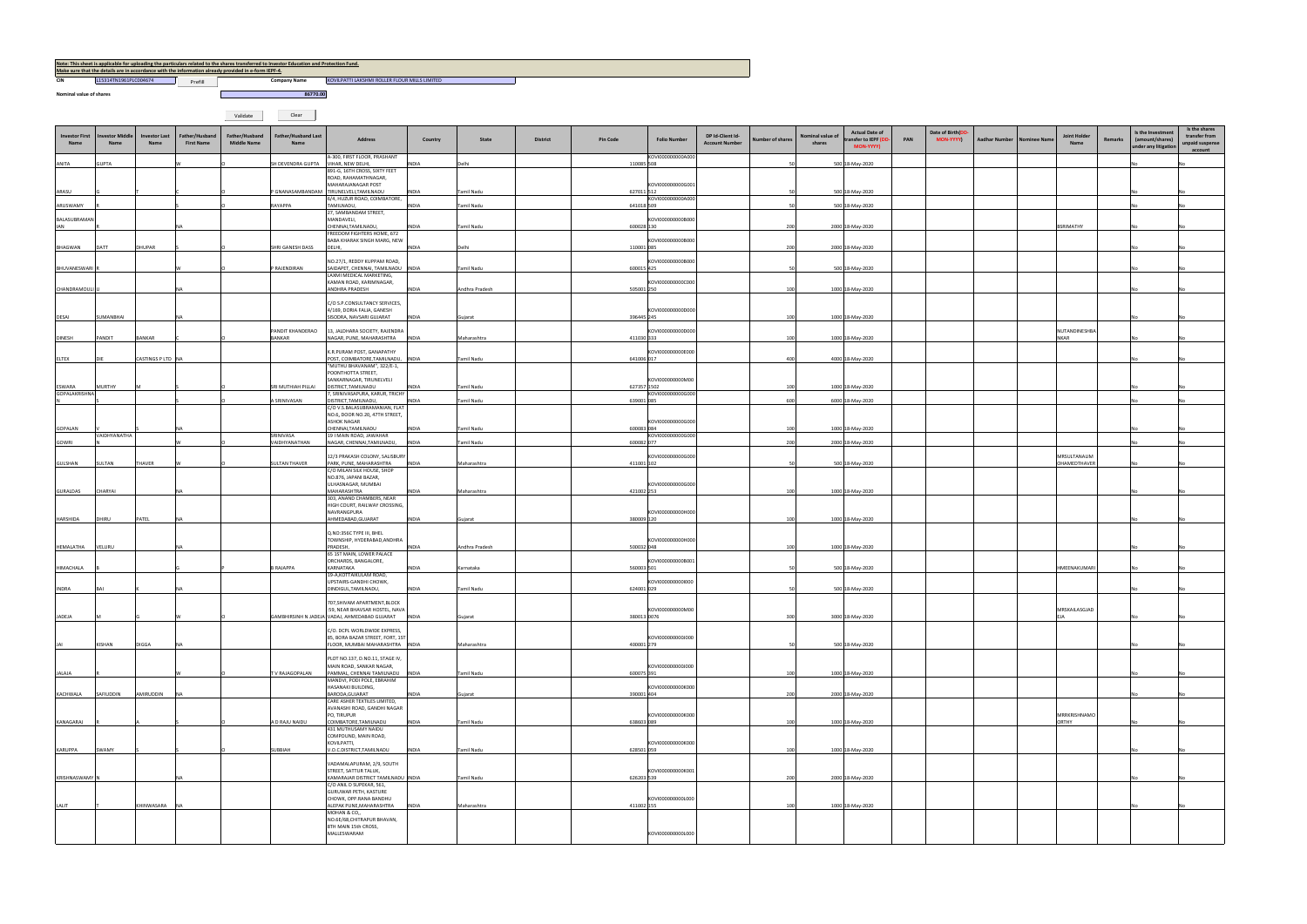|     | Note: This sheet is applicable for uploading the particulars related to the shares transferred to Investor Education and Protection Fund. |         |                     |                                               |  |  |  |  |  |  |  |  |  |
|-----|-------------------------------------------------------------------------------------------------------------------------------------------|---------|---------------------|-----------------------------------------------|--|--|--|--|--|--|--|--|--|
|     | Make sure that the details are in accordance with the information already provided in e-form IEPF-4.                                      |         |                     |                                               |  |  |  |  |  |  |  |  |  |
| CIN | L15314TN1961PLC004674                                                                                                                     | Prefill | <b>Company Name</b> | KOVILPATTI LAKSHMI ROLLER FLOUR MILLS LIMITED |  |  |  |  |  |  |  |  |  |

**86770.00** 

**Nominal value of shares**

Validate Clear

| <b>Investor First</b><br><b>Name</b> | <b>Investor Middle</b><br><b>Name</b> | <b>Investor Last</b><br>Name | Father/Husband<br><b>First Name</b> | Father/Husband<br><b>Middle Name</b> | <b>Father/Husband Last</b><br>Name  | <b>Address</b>                                                                                                      | Country      | State             | <b>District</b> | <b>Pin Code</b> | <b>Folio Number</b>                                                                                                                                                 | DP Id-Client Id-<br><b>Account Number</b> | Number of shares | <b>Actual Date of</b><br>Nominal value of<br>ansfer to IEPF (D<br>shares<br><b>MON-YYYY)</b> | PAN | Date of Birth(DD<br>MON-YYYY) | <b>Aadhar Number</b> | <b>Nominee Name</b> | Joint Holde<br><b>Name</b>   | Remarks | Is the Investment<br>(amount/shares)<br>under any litigation | Is the shares<br>transfer from<br>unpaid suspense<br>account |
|--------------------------------------|---------------------------------------|------------------------------|-------------------------------------|--------------------------------------|-------------------------------------|---------------------------------------------------------------------------------------------------------------------|--------------|-------------------|-----------------|-----------------|---------------------------------------------------------------------------------------------------------------------------------------------------------------------|-------------------------------------------|------------------|----------------------------------------------------------------------------------------------|-----|-------------------------------|----------------------|---------------------|------------------------------|---------|--------------------------------------------------------------|--------------------------------------------------------------|
| ANITA                                | <b>GUPTA</b>                          |                              |                                     |                                      | SH DEVENDRA GUPTA VIHAR, NEW DELHI, | A-300, FIRST FLOOR, PRASHANT                                                                                        | INDIA        | Delhi             |                 | 110085 508      | KOVI000000000A000                                                                                                                                                   |                                           |                  | 500 18-May-2020                                                                              |     |                               |                      |                     |                              |         |                                                              |                                                              |
|                                      |                                       |                              |                                     |                                      |                                     | 891-G, 16TH CROSS, SIXTY FEET<br>ROAD, RAHAMATHNAGAR,<br>MAHARAJANAGAR POST                                         |              |                   |                 |                 | <ovi000000000g001< td=""><td></td><td></td><td></td><td></td><td></td><td></td><td></td><td></td><td></td><td></td><td></td></ovi000000000g001<>                    |                                           |                  |                                                                                              |     |                               |                      |                     |                              |         |                                                              |                                                              |
| ARASU                                |                                       |                              |                                     |                                      |                                     | GNANASAMBANDAM TIRUNELVELI, TAMILNADU<br>6/4, HUZUR ROAD, COIMBATORE,                                               | <b>INDIA</b> | Tamil Nadu        |                 | 627011 512      | KOVI000000000A000                                                                                                                                                   |                                           |                  | 500 18-May-2020                                                                              |     |                               |                      |                     |                              |         |                                                              |                                                              |
| ARUSWAMY                             |                                       |                              |                                     |                                      | RAYAPPA                             | <b>TAMILNADU</b>                                                                                                    | <b>INDIA</b> | Tamil Nadu        |                 | 641018 509      |                                                                                                                                                                     |                                           |                  | 500 18-May-2020                                                                              |     |                               |                      |                     |                              |         |                                                              |                                                              |
| BALASUBRAMAN<br><b>IAN</b>           |                                       |                              | <b>NA</b>                           |                                      |                                     | 27, SAMBANDAM STREET,<br>MANDAVELI,<br>CHENNAI, TAMILNADU,                                                          | <b>INDIA</b> | Tamil Nadu        |                 | 600028 130      | KOVI000000000B000                                                                                                                                                   |                                           | 200              | 2000 18-May-2020                                                                             |     |                               |                      | <b>BSRIMATHY</b>    |                              |         |                                                              |                                                              |
| BHAGWAN                              | DATT                                  | DHUPAR                       |                                     |                                      | SHRI GANESH DASS                    | FREEDOM FIGHTERS HOME, 672<br>BABA KHARAK SINGH MARG, NEW<br>DELHI,                                                 | INDIA        | Delhi             |                 | 110001 085      | OVI000000000B000                                                                                                                                                    |                                           | 200              | 2000 18-May-2020                                                                             |     |                               |                      |                     |                              |         |                                                              |                                                              |
| <b>BHUVANESWARI</b> R                |                                       |                              |                                     |                                      | P RAJENDIRAN                        | NO.27/1, REDDY KUPPAM ROAD,<br>SAIDAPET, CHENNAI, TAMILNADU INDIA                                                   |              | <b>Tamil Nadu</b> |                 | 600015 425      | KOVI000000000B000                                                                                                                                                   |                                           |                  | 500 18-May-2020                                                                              |     |                               |                      |                     |                              |         |                                                              |                                                              |
| CHANDRAMOULI <sup>U</sup>            |                                       |                              | <b>NA</b>                           |                                      |                                     | LAXMI MEDICAL MARKETING,<br>KAMAN ROAD, KARIMNAGAR,<br>ANDHRA PRADESH                                               | <b>INDIA</b> | Andhra Pradesh    |                 | 505001 250      | KOVI000000000C000                                                                                                                                                   |                                           | 100              | 1000 18-May-2020                                                                             |     |                               |                      |                     |                              |         |                                                              |                                                              |
|                                      |                                       |                              |                                     |                                      |                                     | C/O S.P.CONSULTANCY SERVICES,                                                                                       |              |                   |                 |                 |                                                                                                                                                                     |                                           |                  |                                                                                              |     |                               |                      |                     |                              |         |                                                              |                                                              |
| <b>DESAI</b>                         | SUMANBHAI                             |                              |                                     |                                      |                                     | 4/169, DORIA FALIA, GANESH<br>SISODRA, NAVSARI GUJARAT                                                              | <b>INDIA</b> | Gujarat           |                 | 396445 245      | <ovi000000000d000< td=""><td></td><td>100</td><td>1000 18-May-2020</td><td></td><td></td><td></td><td></td><td></td><td></td><td></td><td></td></ovi000000000d000<> |                                           | 100              | 1000 18-May-2020                                                                             |     |                               |                      |                     |                              |         |                                                              |                                                              |
| DINESH                               | PANDIT                                | BANKAR                       |                                     |                                      | PANDIT KHANDERAO<br><b>BANKAR</b>   | 13, JALDHARA SOCIETY, RAJENDRA<br>NAGAR, PUNE, MAHARASHTRA   INDIA                                                  |              | Maharashtra       |                 | 411030 333      | KOVI000000000D000                                                                                                                                                   |                                           | 100              | 1000 18-May-2020                                                                             |     |                               |                      | <b>NKAR</b>         | NUTANDINESHBA                |         |                                                              |                                                              |
| <b>ELTEX</b>                         | DIF                                   | CASTINGS P LTD NA            |                                     |                                      |                                     | K.R.PURAM POST, GANAPATHY<br>POST, COIMBATORE, TAMILNADU, INDIA<br>"MUTHU BHAVANAM", 322/E-1,<br>POONTHOTTA STREET, |              | Tamil Nadu        |                 | 641006 017      | KOVI000000000E000                                                                                                                                                   |                                           | 400              | 4000 18-May-2020                                                                             |     |                               |                      |                     |                              |         |                                                              |                                                              |
| ESWARA                               | <b>MURTHY</b>                         |                              |                                     |                                      | SRI MUTHIAH PILLAI                  | SANKARNAGAR, TIRUNELVELI<br>DISTRICT, TAMILNADU                                                                     | INDIA        | Tamil Nadu        |                 | 627357 1502     | KOVI000000000M00                                                                                                                                                    |                                           | 100              | 1000 18-May-2020                                                                             |     |                               |                      |                     |                              |         |                                                              |                                                              |
| GOPALAKRISHNA                        |                                       |                              |                                     |                                      | A SRINIVASAN                        | 7, SRINIVASAPURA, KARUR, TRICHY<br>DISTRICT, TAMILNADU,                                                             | <b>INDIA</b> | Tamil Nadu        |                 | 639001 085      | KOVI000000000G000                                                                                                                                                   |                                           | 600              | 6000 18-May-2020                                                                             |     |                               |                      |                     |                              |         |                                                              |                                                              |
|                                      |                                       |                              |                                     |                                      |                                     | C/O V.S.BALASUBRAMANIAN, FLAT<br>NO.6, DOOR NO.20, 47TH STREET,<br><b>ASHOK NAGAR</b>                               |              |                   |                 |                 | KOVI000000000G000                                                                                                                                                   |                                           |                  |                                                                                              |     |                               |                      |                     |                              |         |                                                              |                                                              |
| GOPALAN                              | VAIDHYANATHA                          |                              |                                     |                                      | SRINIVASA                           | CHENNAI, TAMILNADU<br>19   MAIN ROAD, JAWAHAR                                                                       | INDIA        | Tamil Nadu        |                 | 600083 084      | KOVI000000000G000                                                                                                                                                   |                                           | 100              | 1000 18-May-2020                                                                             |     |                               |                      |                     |                              |         |                                                              |                                                              |
| GOWRI                                |                                       |                              |                                     |                                      | VAIDHYANATHAN                       | NAGAR, CHENNAI, TAMILNADU, INDIA                                                                                    |              | Tamil Nadu        |                 | 600082 077      |                                                                                                                                                                     |                                           | 200              | 2000 18-May-2020                                                                             |     |                               |                      |                     |                              |         |                                                              |                                                              |
| GULSHAN                              | SULTAN                                | THAVER                       |                                     |                                      | <b>SULTAN THAVER</b>                | 12/3 PRAKASH COLONY, SALISBURY<br>PARK, PUNE, MAHARASHTRA<br>C/O MILAN SILK HOUSE, SHOP                             | <b>INDIA</b> | Maharashtra       |                 | 411001 102      | KOVI000000000G000                                                                                                                                                   |                                           |                  | 500 18-May-2020                                                                              |     |                               |                      |                     | MRSULTANALIM<br>OHAMEDTHAVER |         |                                                              |                                                              |
| <b>GURALDAS</b>                      | CHARYAI                               |                              | NA                                  |                                      |                                     | NO.876, JAPANI BAZAR,<br>ULHASNAGAR, MUMBAI<br>MAHARASHTRA                                                          | INDIA        | Maharashtra       |                 | 421002 253      | KOVI000000000G000                                                                                                                                                   |                                           | 100              | 1000 18-May-2020                                                                             |     |                               |                      |                     |                              |         |                                                              |                                                              |
|                                      |                                       |                              |                                     |                                      |                                     | 303, ANAND CHAMBERS, NEAR<br>HIGH COURT, RAILWAY CROSSING,<br>NAVRANGPURA                                           |              |                   |                 |                 | KOVI000000000H000                                                                                                                                                   |                                           |                  |                                                                                              |     |                               |                      |                     |                              |         |                                                              |                                                              |
| HARSHIDA                             | DHIRU                                 | PATEL                        | <b>NA</b>                           |                                      |                                     | AHMEDABAD, GUJARAT                                                                                                  | <b>INDIA</b> | Gujarat           |                 | 380009 120      |                                                                                                                                                                     |                                           | 100              | 1000 18-May-2020                                                                             |     |                               |                      |                     |                              |         |                                                              |                                                              |
| HEMALATHA                            | VELURU                                |                              | <b>NA</b>                           |                                      |                                     | Q.NO:356C TYPE III, BHEL<br>TOWNSHIP, HYDERABAD, ANDHRA<br>PRADESH,                                                 | <b>INDIA</b> | Andhra Pradesh    |                 | 500032 048      | <0VI000000000H000                                                                                                                                                   |                                           | 100              | 1000 18-May-2020                                                                             |     |                               |                      |                     |                              |         |                                                              |                                                              |
| HIMACHALA                            |                                       |                              |                                     |                                      | <b>BRAJAPPA</b>                     | 65 1ST MAIN, LOWER PALACE<br>ORCHARDS, BANGALORE,<br>KARNATAKA                                                      | INDIA        | Karnataka         |                 | 560003 501      | KOVI000000000B001                                                                                                                                                   |                                           |                  | 500 18-May-2020                                                                              |     |                               |                      |                     | HMEENAKUMARI                 |         |                                                              |                                                              |
| <b>INDRA</b>                         | RAI                                   |                              | NΔ                                  |                                      |                                     | 19-A, KOTTAIKULAM ROAD,<br>UPSTAIRS-GANDHI CHOWK,<br>DINDIGUL, TAMILNADU,                                           | <b>INDIA</b> | <b>Tamil Nadu</b> |                 | 624001 029      | KOVI0000000001000                                                                                                                                                   |                                           |                  | 500 18-May-2020                                                                              |     |                               |                      |                     |                              |         |                                                              |                                                              |
|                                      |                                       |                              |                                     |                                      |                                     | 707, SHIVAM APARTMENT, BLOCK<br>:59, NEAR BHAVSAR HOSTEL, NAVA                                                      |              |                   |                 |                 | KOVI000000000M00                                                                                                                                                    |                                           |                  |                                                                                              |     |                               |                      |                     | MRSKAILASGJAD                |         |                                                              |                                                              |
| <b>JADEJA</b>                        | M                                     |                              |                                     |                                      |                                     | GAMBHIRSINH N JADEJA (VADAJ, AHMEDABAD GUJARAT    INDIA                                                             |              | Gujarat           |                 | 380013 0076     |                                                                                                                                                                     |                                           | 300              | 3000 18-May-2020                                                                             |     |                               |                      |                     |                              |         |                                                              |                                                              |
| JAI                                  | KISHAN                                | <b>DIGGA</b>                 | <b>NA</b>                           |                                      |                                     | C/O. DCPL WORLDWIDE EXPRESS,<br>85, BORA BAZAR STREET, FORT, 1ST<br>FLOOR, MUMBAI MAHARASHTRA  INDIA                |              | Maharashtra       |                 | 400001 279      | KOVI0000000000000                                                                                                                                                   |                                           |                  | 500 18-May-2020                                                                              |     |                               |                      |                     |                              |         |                                                              |                                                              |
|                                      |                                       |                              |                                     |                                      |                                     | PLOT NO.137, D.NO.11, STAGE IV,<br>MAIN ROAD, SANKAR NAGAR,                                                         |              |                   |                 |                 | KOVI000000000J000                                                                                                                                                   |                                           |                  |                                                                                              |     |                               |                      |                     |                              |         |                                                              |                                                              |
| JALAJA                               |                                       |                              |                                     |                                      | TV RAJAGOPALAN                      | PAMMAL, CHENNAI TAMILNADU   INDIA<br>MANDVI, PODI POLE, EBRAHIM                                                     |              | Tamil Nadu        |                 | 600075 391      |                                                                                                                                                                     |                                           | 100              | 1000 18-May-2020                                                                             |     |                               |                      |                     |                              |         |                                                              |                                                              |
| KACHWALA                             | SAFIUDDIN                             | AMIRUDDIN                    | <b>NA</b>                           |                                      |                                     | HASANAKI BUILDING,<br>BARODA.GUJARAT<br>CARE ASHER TEXTILES LIMITED,                                                | <b>INDIA</b> | Gujarat           |                 | 390001 404      | KOVI000000000K000                                                                                                                                                   |                                           | 200              | 2000 18-May-2020                                                                             |     |                               |                      |                     |                              |         |                                                              |                                                              |
| KANAGARAJ                            |                                       |                              |                                     |                                      | A D RAJU NAIDU                      | AVANASHI ROAD, GANDHI NAGAR<br>PO, TIRUPUR<br>COIMBATORE, TAMILNADU                                                 | <b>INDIA</b> | Tamil Nadu        |                 | 638603 089      | KOVI000000000K000                                                                                                                                                   |                                           | 100              | 1000 18-May-2020                                                                             |     |                               |                      | ORTHY               | MRRKRISHNAMO                 |         |                                                              |                                                              |
|                                      |                                       |                              |                                     |                                      |                                     | 431 MUTHUSAMY NAIDU<br>COMPOUND, MAIN ROAD,<br>KOVILPATTI,                                                          |              |                   |                 |                 | KOVI000000000K000                                                                                                                                                   |                                           |                  |                                                                                              |     |                               |                      |                     |                              |         |                                                              |                                                              |
| KARUPPA                              | SWAMY                                 |                              |                                     |                                      | SUBBIAH                             | V.O.C.DISTRICT, TAMILNADU                                                                                           | <b>INDIA</b> | Tamil Nadu        |                 | 628501 059      |                                                                                                                                                                     |                                           | 100              | 1000 18-May-2020                                                                             |     |                               |                      |                     |                              |         |                                                              |                                                              |
| <b>KRISHNASWAMY N</b>                |                                       |                              |                                     |                                      |                                     | VADAMALAPURAM, 2/9, SOUTH<br>STREET, SATTUR TALUK,<br>KAMARAJAR DISTRICT TAMILNADU INDIA                            |              | Tamil Nadu        |                 | 626203 539      | KOVI000000000K001                                                                                                                                                   |                                           | 200              | 2000 18-May-2020                                                                             |     |                               |                      |                     |                              |         |                                                              |                                                              |
|                                      |                                       |                              |                                     |                                      |                                     | C/O ANIL D SUPEKAR, 561,                                                                                            |              |                   |                 |                 |                                                                                                                                                                     |                                           |                  |                                                                                              |     |                               |                      |                     |                              |         |                                                              |                                                              |
| LALIT                                |                                       | KHINWASARA NA                |                                     |                                      |                                     | GURUWAR PETH, KASTURE<br>CHOWK, OPP.RANA BANDHU<br>ALEPAK PUNE, MAHARASHTRA                                         | <b>INDIA</b> | Maharashtra       |                 | 411002 155      | KOVI000000000L000                                                                                                                                                   |                                           | 100              | 1000 18-May-2020                                                                             |     |                               |                      |                     |                              |         |                                                              |                                                              |
|                                      |                                       |                              |                                     |                                      |                                     | MOHAN & CO,,<br>NO.6E/68, CHITRAPUR BHAVAN,<br>8TH MAIN 15th CROSS,<br>MAIIFSWARAM                                  |              |                   |                 |                 | KOVI0000000001000                                                                                                                                                   |                                           |                  |                                                                                              |     |                               |                      |                     |                              |         |                                                              |                                                              |
|                                      |                                       |                              |                                     |                                      |                                     |                                                                                                                     |              |                   |                 |                 |                                                                                                                                                                     |                                           |                  |                                                                                              |     |                               |                      |                     |                              |         |                                                              |                                                              |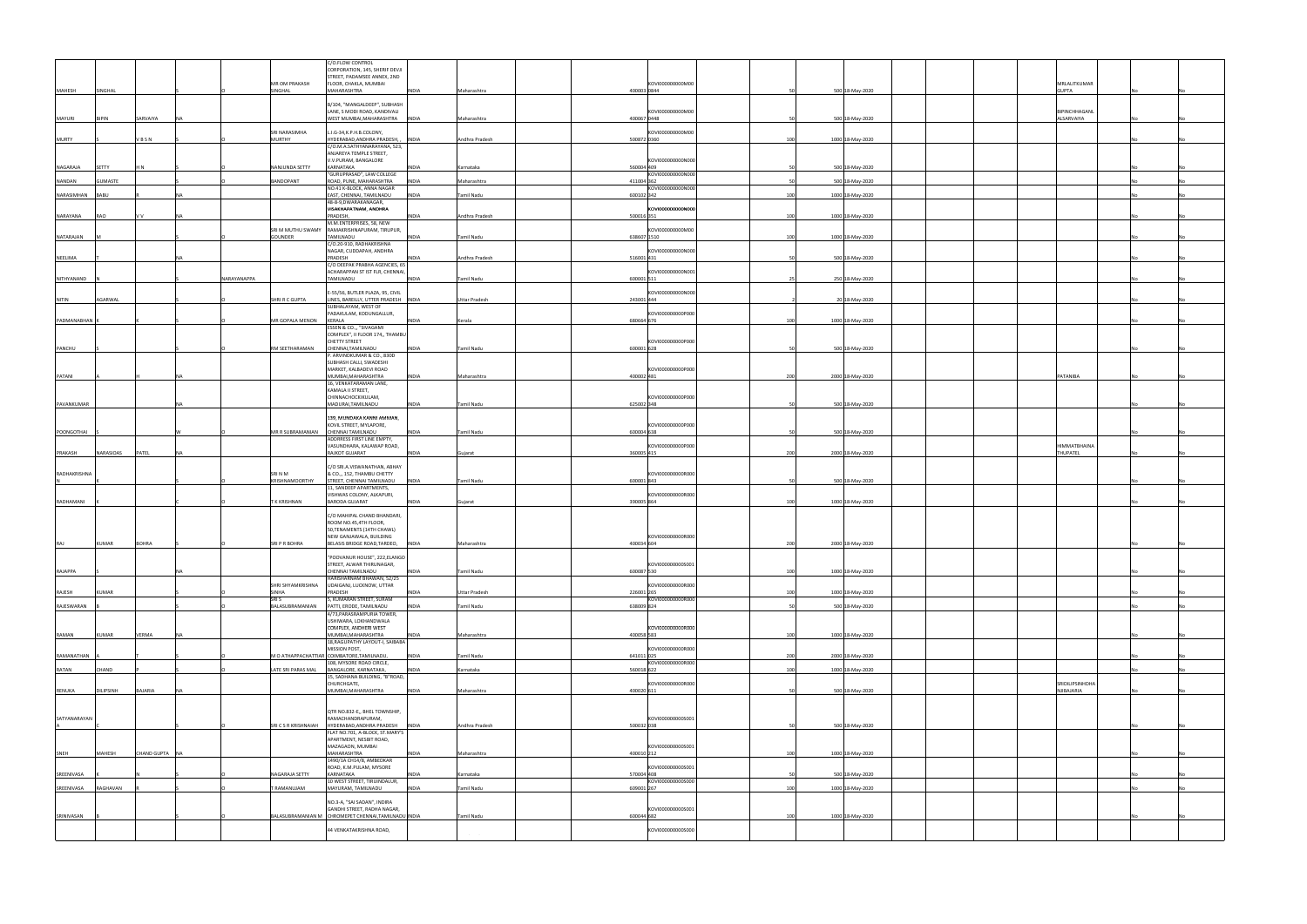|                     |                  |                |            |             |                                     | C/O.FLOW CONTROL                                                            |                      |             |                   |                         |                          |  |
|---------------------|------------------|----------------|------------|-------------|-------------------------------------|-----------------------------------------------------------------------------|----------------------|-------------|-------------------|-------------------------|--------------------------|--|
|                     |                  |                |            |             |                                     | CORPORATION, 145, SHERIF DEVJI<br>STREET, PADAMSEE ANNEX, 2ND               |                      |             |                   |                         |                          |  |
|                     |                  |                |            |             | MR OM PRAKASH                       | FLOOR, CHAKLA, MUMBAI                                                       |                      |             | KOVI000000000M00  |                         | MRLALITKUMAR             |  |
| MAHESH              | SINGHAL          |                |            |             | SINGHAL                             | MAHARASHTRA<br><b>INDIA</b>                                                 | Maharashtra          | 400003 0844 |                   | 500 18-May-2020         | <b>GUPTA</b>             |  |
|                     |                  |                |            |             |                                     | B/104, "MANGALDEEP", SUBHASH                                                |                      |             |                   |                         |                          |  |
|                     |                  |                |            |             |                                     | LANE, S MODI ROAD, KANDIVALI                                                |                      |             | KOVI000000000M00  |                         | BIPINCHHAGANL            |  |
| MAYURI              | <b>BIPIN</b>     | SARVAIYA       | <b>NA</b>  |             |                                     | WEST MUMBAI, MAHARASHTRA   INDIA                                            | Maharashtra          | 400067 0448 |                   | 500 18-May-2020         | ALSARVAIYA               |  |
|                     |                  |                |            |             | SRI NARASIMHA                       | L.I.G-34, K.P.H.B.COLONY,                                                   |                      |             | KOVI000000000M00  |                         |                          |  |
| <b>MURTY</b>        |                  | VBSN           |            |             | <b>MURTHY</b>                       | HYDERABAD, ANDHRA PRADESH, , INDIA<br>C/O.M.A.SATHYANARAYANA, 523,          | Andhra Pradesh       | 500872 0360 |                   | 1000 18-May-2020<br>100 |                          |  |
|                     |                  |                |            |             |                                     | ANJAREYA TEMPLE STREET,                                                     |                      |             |                   |                         |                          |  |
| NAGARAJA            | <b>SETTY</b>     | H <sub>N</sub> |            |             | NANJUNDA SETTY                      | V.V.PURAM, BANGALORE<br>KARNATAKA<br><b>INDIA</b>                           | Karnataka            | 560004 409  | KOVI000000000N000 | 500 18-May-2020         |                          |  |
|                     |                  |                |            |             |                                     | "GURUPRASAD", LAW COLLEGE                                                   |                      |             | KOVI000000000N000 |                         |                          |  |
| NANDAN              | <b>GUMASTE</b>   |                |            |             | BANDOPANT                           | ROAD, PUNE, MAHARASHTRA<br><b>INDIA</b><br>NO.41 K-BLOCK, ANNA NAGAR        | Maharashtra          | 411004 362  | KOVI000000000N000 | 500 18-May-2020         |                          |  |
| NARASIMHAN          | <b>BABU</b>      |                |            |             |                                     | EAST, CHENNAI, TAMILNADU<br><b>INDIA</b>                                    | Tamil Nadu           | 600102 342  |                   | 100<br>1000 18-May-2020 |                          |  |
|                     |                  |                |            |             |                                     | 48-8-9, DWARAKANAGAR,                                                       |                      |             |                   |                         |                          |  |
| NARAYANA            | RAO              | V V            | <b>NA</b>  |             |                                     | VISAKHAPATNAM, ANDHRA<br>PRADESH,<br>INDIA                                  | Andhra Pradesh       | 500016 351  | KOVI000000000N000 | 100<br>1000 18-May-2020 |                          |  |
|                     |                  |                |            |             |                                     | M.M.ENTERPRISES, 58, NEW                                                    |                      |             |                   |                         |                          |  |
| NATARAJAN           |                  |                |            |             | SRI M MUTHU SWAMY<br><b>GOUNDER</b> | RAMAKRISHNAPURAM, TIRUPUR,<br>TAMILNADU<br><b>INDIA</b>                     | Tamil Nadu           | 638607 1510 | KOVI000000000M00  | 1000 18-May-2020<br>100 |                          |  |
|                     |                  |                |            |             |                                     | C/O.20-910, RADHAKRISHNA                                                    |                      |             |                   |                         |                          |  |
| NEELIMA             |                  |                | <b>NA</b>  |             |                                     | NAGAR, CUDDAPAH, ANDHRA<br>PRADESH<br>INDIA                                 | Andhra Pradesh       | 516001 431  | KOVI000000000N000 | 500 18-May-2020         |                          |  |
|                     |                  |                |            |             |                                     | C/O DEEPAK PRABHA AGENCIES, 65                                              |                      |             |                   |                         |                          |  |
| NITHYANAND          |                  |                |            | NARAYANAPPA |                                     | ACHARAPPAN ST IST FLR, CHENNAI,<br>TAMILNADU<br><b>INDIA</b>                | Tamil Nadu           | 600001 511  | KOVI000000000N001 | 250 18-May-2020         |                          |  |
|                     |                  |                |            |             |                                     |                                                                             |                      |             |                   |                         |                          |  |
| <b>NITIN</b>        | AGARWAL          |                |            |             | SHRI R C GUPTA                      | E-55/56, BUTLER PLAZA, 95, CIVIL<br>LINES, BAREILLY, UTTER PRADESH INDIA    | <b>Uttar Pradesh</b> | 243001 444  | KOVI000000000N000 | 20 18-May-2020          |                          |  |
|                     |                  |                |            |             |                                     | SUBHALAYAM, WEST OF                                                         |                      |             |                   |                         |                          |  |
| PADMANABHAN         |                  |                |            |             | MR GOPALA MENON                     | PADAKULAM, KODUNGALLUR,<br>KERALA<br>INDIA                                  |                      | 680664 676  | KOVI000000000P000 | 1000 18-May-2020<br>100 |                          |  |
|                     |                  |                |            |             |                                     | ESSEN & CO.,, "SIVAGAMI                                                     | Kerala               |             |                   |                         |                          |  |
|                     |                  |                |            |             |                                     | COMPLEX", II FLOOR 174,, THAMBU                                             |                      |             |                   |                         |                          |  |
| PANCHU              |                  |                |            |             | RM SEETHARAMAN                      | <b>CHETTY STREET</b><br>CHENNAI, TAMILNADU<br><b>INDIA</b>                  | <b>Tamil Nadu</b>    | 600001 628  | KOVI000000000P000 | 500 18-May-2020         |                          |  |
|                     |                  |                |            |             |                                     | P. ARVINDKUMAR & CO., 830D                                                  |                      |             |                   |                         |                          |  |
|                     |                  |                |            |             |                                     | SUBHASH CALLI, SWADESHI<br>MARKET, KALBADEVI ROAD                           |                      |             | KOVI000000000P000 |                         |                          |  |
| PATANI              |                  |                | <b>NA</b>  |             |                                     | MUMBAI, MAHARASHTRA<br><b>INDIA</b>                                         | Maharashtra          | 400002 481  |                   | 2000 18-May-2020<br>200 | PATANIBA                 |  |
|                     |                  |                |            |             |                                     | 16, VENKATARAMAN LANE,<br>KAMALA II STREET,                                 |                      |             |                   |                         |                          |  |
|                     |                  |                |            |             |                                     | CHINNACHOCKIKULAM,                                                          |                      |             | KOVI000000000P000 |                         |                          |  |
| PAVANKUMAR          |                  |                | <b>NA</b>  |             |                                     | MADURAI, TAMILNADU<br><b>INDIA</b>                                          | <b>Tamil Nadu</b>    | 625002 348  |                   | 500 18-May-2020         |                          |  |
|                     |                  |                |            |             |                                     | 139, MUNDAKA KANNI AMMAN,                                                   |                      |             |                   |                         |                          |  |
| POONGOTHAI          |                  |                |            |             | MR R SUBRAMANIAN                    | KOVIL STREET, MYLAPORE,<br>CHENNAI TAMILNADU<br>INDIA                       | <b>Tamil Nadu</b>    | 600004 638  | KOVI000000000P000 | 500 18-May-2020         |                          |  |
|                     |                  |                |            |             |                                     | ADDRRESS FIRST LINE EMPTY,                                                  |                      |             |                   |                         |                          |  |
| PRAKASH             | NARASIOAS        | PATEL          | <b>NA</b>  |             |                                     | VASUNDHARA, KALAWAP ROAD,<br>RAJKOT GUJARAT<br><b>INDIA</b>                 | Gujarat              | 360005 415  | KOVI000000000P000 | 200<br>2000 18-May-2020 | HIMMATBHAINA<br>THUPATEL |  |
|                     |                  |                |            |             |                                     |                                                                             |                      |             |                   |                         |                          |  |
| RADHAKRISHNA        |                  |                |            |             | SRI N M                             | C/O SRI.A.VISWANATHAN, ABHAY<br>& CO.,, 152, THAMBU CHETTY                  |                      |             | KOVI000000000R000 |                         |                          |  |
|                     |                  |                |            |             | <b>KRISHNAMOORTHY</b>               | STREET, CHENNAI TAMILNADU<br>INDIA                                          | Tamil Nadu           | 600001843   |                   | 500 18-May-2020<br>-50  |                          |  |
|                     |                  |                |            |             |                                     | 11, SANDEEP APARTMENTS,                                                     |                      |             |                   |                         |                          |  |
| RADHAMANI           |                  |                |            |             | T K KRISHNAN                        | VISHWAS COLONY, ALKAPURI,<br><b>BARODA GUJARAT</b><br><b>INDIA</b>          | Gujarat              | 390005 864  | KOVI000000000R000 | 1000 18-May-2020<br>100 |                          |  |
|                     |                  |                |            |             |                                     |                                                                             |                      |             |                   |                         |                          |  |
|                     |                  |                |            |             |                                     | C/O MAHIPAL CHAND BHANDARI,<br>ROOM NO.45,4TH FLOOR,                        |                      |             |                   |                         |                          |  |
|                     |                  |                |            |             |                                     | 50, TENAMENTS (14TH CHAWL)                                                  |                      |             |                   |                         |                          |  |
|                     | KUMAR            | <b>BOHRA</b>   |            |             | SRI P R BOHRA                       | NEW GANJAWALA, BUILDING<br>BELASIS BRIDGE ROAD, TARDEO, INDIA               | Maharashtra          | 400034 604  | KOVI000000000R000 | 2000 18-May-2020<br>200 |                          |  |
| RAJ                 |                  |                |            |             |                                     |                                                                             |                      |             |                   |                         |                          |  |
|                     |                  |                |            |             |                                     | "POOVANUR HOUSE", 222, ELANGO<br>STREET, ALWAR THIRUNAGAR,                  |                      |             | KOVI000000000S001 |                         |                          |  |
| RAJAPPA             |                  |                | <b>NA</b>  |             |                                     | CHENNAI TAMILNADU<br><b>INDIA</b>                                           | Tamil Nadu           | 600087 530  |                   | 100<br>1000 18-May-2020 |                          |  |
|                     |                  |                |            |             |                                     | HARISHARNAM BHAWAN, 52/25                                                   |                      |             |                   |                         |                          |  |
| RAJESH              | KUMAR            |                |            |             | SHRI SHYAMKRISHNA<br><b>AHNI</b>    | UDAIGANJ, LUCKNOW, UTTAR<br>PRADESH<br><b>INDIA</b>                         | <b>Uttar Pradesh</b> | 226001 265  | KOVI000000000R000 | 100<br>1000 18-May-2020 |                          |  |
|                     |                  |                |            |             | SRI S<br>BALASUBRAMANIAN            | 5, KUMARAN STREET, SURAM<br><b>INDIA</b>                                    |                      |             | KOVI000000000R000 | -50                     |                          |  |
| RAJESWARAN          |                  |                |            |             |                                     | PATTI, ERODE, TAMILNADU<br>4/73, PARASRAMPURIA TOWER,                       | Tamil Nadu           | 638009824   |                   | 500 18-May-2020         |                          |  |
|                     |                  |                |            |             |                                     | USHIWARA, LOKHANDWALA                                                       |                      |             |                   |                         |                          |  |
| RAMAN               | <b>KUMAR</b>     | <b>VERMA</b>   | <b>INA</b> |             |                                     | COMPLEX, ANDHERI WEST<br>MUMBAI, MAHARASHTRA<br><b>INDIA</b>                | Maharashtra          | 400058 583  | KOVI000000000R000 | 100<br>1000 18-May-2020 |                          |  |
|                     |                  |                |            |             |                                     | 18, RAGUPATHY LAYOUT-I, SAIBABA                                             |                      |             |                   |                         |                          |  |
| RAMANATHAN          |                  |                |            |             |                                     | MISSION POST,<br>M O ATHAPPACHATTIAR COIMBATORE, TAMILNADU,<br><b>INDIA</b> | Tamil Nadu           | 641011 025  | KOVI000000000R000 | 200<br>2000 18-May-2020 |                          |  |
|                     |                  |                |            |             |                                     | 108, MYSORE ROAD CIRCLE,                                                    |                      |             | KOVI000000000R000 |                         |                          |  |
| RATAN               | CHAND            |                |            |             | LATE SRI PARAS MAL                  | BANGALORE, KARNATAKA,<br><b>INDIA</b><br>15, SADHANA BUILDING, "B"ROAD,     | Karnataka            | 560018 622  |                   | 100<br>1000 18-May-2020 |                          |  |
|                     |                  |                |            |             |                                     | CHURCHGATE,                                                                 |                      |             | KOVI000000000R000 |                         | SRIDILIPSINHDHA          |  |
| RENUKA              | <b>DILIPSINH</b> | <b>BAJARIA</b> | <b>INA</b> |             |                                     | MUMBAI, MAHARASHTRA<br><b>INDIA</b>                                         | Maharashtra          | 400020 611  |                   | 500 18-May-2020         | NJIBAJARIA               |  |
|                     |                  |                |            |             |                                     |                                                                             |                      |             |                   |                         |                          |  |
| SATYANARAYAN        |                  |                |            |             |                                     | QTR NO.832-E,, BHEL TOWNSHIP,<br>RAMACHANDRAPURAM,                          |                      |             | KOVI000000000S001 |                         |                          |  |
|                     |                  |                |            |             |                                     | SRI C S R KRISHNAIAH HYDERABAD, ANDHRA PRADESH<br><b>INDIA</b>              | Andhra Pradesh       | 500032 038  |                   | 500 18-May-2020         |                          |  |
|                     |                  |                |            |             |                                     | FLAT NO.701, A-BLOCK, ST.MARY'S                                             |                      |             |                   |                         |                          |  |
|                     |                  |                |            |             |                                     | APARTMENT, NESBIT ROAD,<br>MAZAGAON, MUMBAI                                 |                      |             | KOVI000000000S001 |                         |                          |  |
| SNEH                | MAHESH           | CHAND GUPTA NA |            |             |                                     | <b>MAHARASHTRA</b><br><b>INDIA</b>                                          | Maharashtra          | 400010 212  |                   | 1000 18-May-2020<br>100 |                          |  |
|                     |                  |                |            |             |                                     | 1490/1A CH14/8, AMBEDKAR<br>ROAD, K.M.PULAM, MYSORE                         |                      |             | KOVI000000000S001 |                         |                          |  |
| SREENIVASA          |                  |                |            |             | NAGARAJA SETTY                      | KARNATAKA<br>INDIA                                                          | Karnataka            | 570004 408  |                   | 500 18-May-2020         |                          |  |
| SREENIVASA RAGHAVAN |                  |                |            |             | T RAMANUJAM                         | 10 WEST STREET, TIRUINDALUR,<br>MAYURAM, TAMILNADU<br><b>INDIA</b>          | Tamil Nadu           | 609001 267  | KOVI000000000S000 | 100<br>1000 18-May-2020 |                          |  |
|                     |                  |                |            |             |                                     |                                                                             |                      |             |                   |                         |                          |  |
|                     |                  |                |            |             |                                     | NO.3-A, "SAI SADAN", INDIRA<br>GANDHI STREET, RADHA NAGAR,                  |                      |             | KOVI0000000005001 |                         |                          |  |
| SRINIVASAN          |                  |                |            |             |                                     | BALASUBRAMANIAN M CHROMEPET CHENNAI, TAMILNADU INDIA                        | <b>Tamil Nadu</b>    | 600044 682  |                   | 100<br>1000 18-May-2020 |                          |  |
|                     |                  |                |            |             |                                     | 44 VENKATAKRISHNA ROAD,                                                     |                      |             | KOVI000000000S000 |                         |                          |  |
|                     |                  |                |            |             |                                     |                                                                             |                      |             |                   |                         |                          |  |